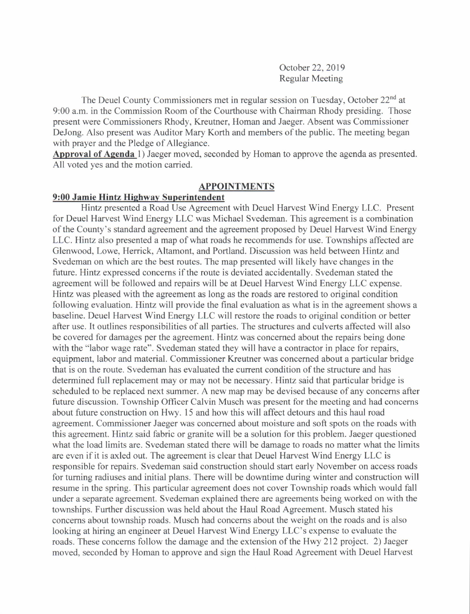October 22,2019 Regular Meeting

The Deuel County Commissioners met in regular session on Tuesday, October 22<sup>nd</sup> at 9:00 a.m. in the Commission Room of the Courthouse with Chairman Rhody presiding. Those present were Commissioners Rhody, Kreutner, Homan and Jaeger. Absent was Commissioner DeJong. Also present was Auditor Mary Korth and members of the public. The meeting began with prayer and the Pledge of Allegiance.

Approval of Agenda 1) Jaeger moved, seconded by Homan to approve the agenda as presented. All voted yes and the motion carried.

#### APPOINTMENTS

### 9:00 Jamie Hintz Hishwav Suoerintendent

Hintz presented a Road Use Agreement with Deuel Harvest Wind Energy LLC. Present for Deuel Harvest Wind Energy LLC was Michael Svedeman. This agreement is a combination ofthe County's standard agreement and the agreement proposed by Deuel Harvest Wind Energy LLC. Hintz also presented a map of what roads he recommends for use. Townships affected are Glenwood, Lowe, Herrick, Altamont, and Portland. Discussion was held between Hintz and Svedeman on which are the best routes. The map presented will likely have changes in the future. Hintz expressed concerns if the route is deviated accidentally. Svedeman stated the agreement will be followed and repairs will be at Deuel Harvest Wind Energy LLC expense. Hintz was pleased with the agreement as long as the roads are restored to original condition following evaluation. Hintz will provide the final evaluation as what is in the agreement shows a baseline. Deuel Harvest Wind Energy LLC will restore the roads to original condition or better after use. It outlines responsibilities of all parties. The structures and culverts affected will also be covered for damages per the agreement. Hintz was concemed about the repairs being done with the "labor wage rate". Svedeman stated they will have a contractor in place for repairs, equipment, labor and material. Commissioner Kreutner was concemed about a particular bridge that is on the route. Svedeman has evaluated the current condition of the structure and has determined full replacement may or may not be necessary. Hintz said that particular bridge is scheduled to be replaced next summer. A new map may be devised because of any concerns after future discussion. Township Officer Calvin Musch was present for the meeting and had concerns about future construction on Hwy. 15 and how this will affect detours and this haul road agreement. Commissioner Jaeger was concemed about moisture and soft spots on the roads with this agreement. Hintz said fabric or granite will be a solution for this problem. Jaeger questioned what the load limits are. Svedeman stated there will be damage to roads no matter what the limits are even if it is axled out. The agreement is clear that Deuel Harvest Wind Energy LLC is responsible for repairs. Svedeman said construction should start early November on access roads for tuming radiuses and initial plans. There will be downtime during winter and construction will resume in the spring. This particular agreement does not cover Township roads which would fall under a separate agreement. Svedeman explained there are agreements being worked on with the townships. Further discussion was held about the Haul Road Agreement. Musch stated his concems about township roads. Musch had concems about the weight on the roads and is also looking at hiring an engineer at Deuel Harvest Wind Energy LLC's expense to evaluate the roads. These concerns follow the damage and the extension of the Hwy 212 project. 2) Jaeger moved, seconded by Homan to approve and sign the Haul Road Agreement with Deuel Harvest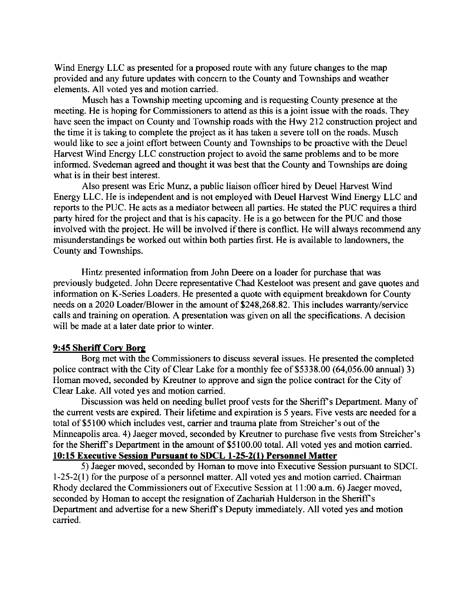Wind Energy LLC as presented for a proposed route with any future changes to the map provided and any future updates with concem to the County and Townships and weather elements. All voted yes and motion carried.

Musch has a Township meeting upcoming and is requesting County presence at the meeting. He is hoping for Commissioners to attend as this is a joint issue with the roads. They have seen the impact on County and Township roads with the Hwy 212 construction project and the time it is taking to complete the project as it has taken a severe toll on the roads. Musch would like to see a joint effort between County and Townships to be proactive with the Deuel Harvest Wind Energy LLC construction project to avoid the same problems and to be more informed. Svedeman agreed and thought it was best that the County and Townships are doing what is in their best interest.

Also present was Eric Munz, a public liaison officer hired by Deuel Harvest Wind Energy LLC. He is independent and is not employed with Deuel Harvest Wind Energy LLC and reports to the PUC. He acts as a mediator between all parties. He stated the PUC requires a third party hired for the project and that is his capacity. He is a go between for the PUC and those involved with the project. He will be involved if there is conflict. He will always recommend any misunderstandings be worked out within both parties first. He is available to landowners, the County and Townships.

Hintz presented information from John Deere on a loader for purchase that was previously budgeted. John Deere representative Chad Kesteloot was present and gave quotes and information on K-Series Loaders. He presented a quote with equipment breakdown for County needs on a 2020 Loader/Blower in the amount of \$248,268.82. This includes warranty/service calls and training on operation. A presentation was given on all the specifications. A decision will be made at a later date prior to winter.

#### 9:45 Sheriff Corv Bors

Borg met with the Commissioners to discuss several issues. He presented the completed police contract with the City of Clear Lake for a monthly fee of \$5338.00 (64,056.00 annual) 3) Homan moved, seconded by Kreutner to approve and sign the police contract for the City of Clear Lake. All voted yes and motion carried.

Discussion was held on needing bullet proof vests for the Sheriff's Department. Many of the current vests are expired. Their lifetime and expiration is 5 years. Five vests are needed for a total of \$5100 which includes vest, carrier and trauma plate from Streicher's out of the Minneapolis area. 4) Jaeger moved, seconded by Kreutner to purchase five vests from Streicher's for the Sheriff's Department in the amount of \$5100.00 total. All voted yes and motion carried. 10:15 Executive Session Pursuant to SDCL 1-25-2(l) Personnel Matter

5) Jaeger moved, seconded by Homan to move into Executive Session pursuant to SDCL  $1-25-2(1)$  for the purpose of a personnel matter. All voted yes and motion carried. Chairman Rhody declared the Commissioners out of Executive Session at 11:00 a.m. 6) Jaeger moved, seconded by Homan to accept the resignation of Zachariah Hulderson in the Sheriff's Department and advertise for a new Sheriff s Deputy immediately. All voted yes and motion carried.